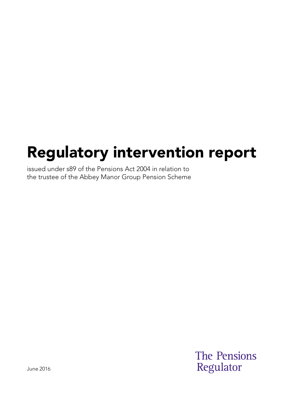# Regulatory intervention report

issued under s89 of the Pensions Act 2004 in relation to the trustee of the Abbey Manor Group Pension Scheme

> **The Pensions** Regulator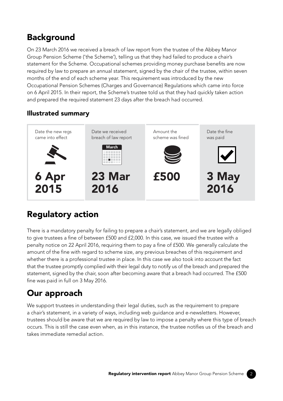## Background

On 23 March 2016 we received a breach of law report from the trustee of the Abbey Manor Group Pension Scheme ('the Scheme'), telling us that they had failed to produce a chair's statement for the Scheme. Occupational schemes providing money purchase benefits are now required by law to prepare an annual statement, signed by the chair of the trustee, within seven months of the end of each scheme year. This requirement was introduced by the new Occupational Pension Schemes (Charges and Governance) Regulations which came into force on 6 April 2015. In their report, the Scheme's trustee told us that they had quickly taken action and prepared the required statement 23 days after the breach had occurred.

#### Illustrated summary



#### Regulatory action

There is a mandatory penalty for failing to prepare a chair's statement, and we are legally obliged to give trustees a fine of between £500 and £2,000. In this case, we issued the trustee with a penalty notice on 22 April 2016, requiring them to pay a fine of £500. We generally calculate the amount of the fine with regard to scheme size, any previous breaches of this requirement and whether there is a professional trustee in place. In this case we also took into account the fact that the trustee promptly complied with their legal duty to notify us of the breach and prepared the statement, signed by the chair, soon after becoming aware that a breach had occurred. The £500 fine was paid in full on 3 May 2016.

## Our approach

We support trustees in understanding their legal duties, such as the requirement to prepare a chair's statement, in a variety of ways, including web guidance and e-newsletters. However, trustees should be aware that we are required by law to impose a penalty where this type of breach occurs. This is still the case even when, as in this instance, the trustee notifies us of the breach and takes immediate remedial action.